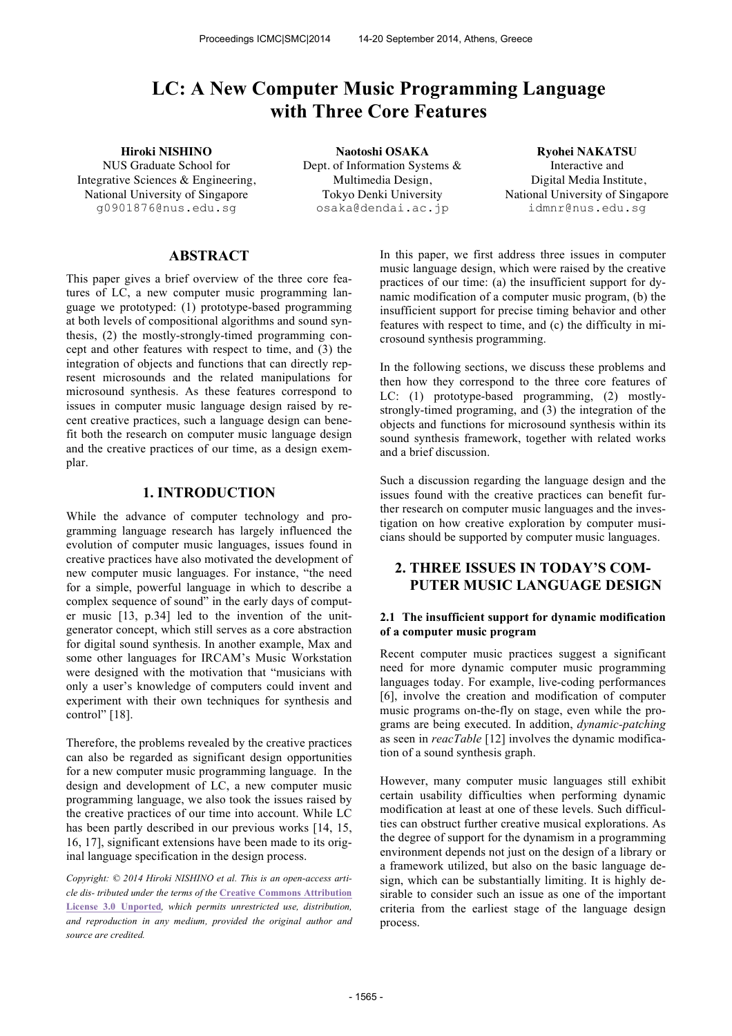# **LC: A New Computer Music Programming Language with Three Core Features**

NUS Graduate School for Integrative Sciences & Engineering, National University of Singapore g0901876@nus.edu.sg

**Hiroki NISHINO Naotoshi OSAKA Ryohei NAKATSU** Dept. of Information Systems & Multimedia Design, Tokyo Denki University osaka@dendai.ac.jp

Interactive and Digital Media Institute, National University of Singapore idmnr@nus.edu.sg

# **ABSTRACT**

This paper gives a brief overview of the three core features of LC, a new computer music programming language we prototyped: (1) prototype-based programming at both levels of compositional algorithms and sound synthesis, (2) the mostly-strongly-timed programming concept and other features with respect to time, and (3) the integration of objects and functions that can directly represent microsounds and the related manipulations for microsound synthesis. As these features correspond to issues in computer music language design raised by recent creative practices, such a language design can benefit both the research on computer music language design and the creative practices of our time, as a design exemplar.

# **1. INTRODUCTION**

While the advance of computer technology and programming language research has largely influenced the evolution of computer music languages, issues found in creative practices have also motivated the development of new computer music languages. For instance, "the need for a simple, powerful language in which to describe a complex sequence of sound" in the early days of computer music [13, p.34] led to the invention of the unitgenerator concept, which still serves as a core abstraction for digital sound synthesis. In another example, Max and some other languages for IRCAM's Music Workstation were designed with the motivation that "musicians with only a user's knowledge of computers could invent and experiment with their own techniques for synthesis and control" [18].

Therefore, the problems revealed by the creative practices can also be regarded as significant design opportunities for a new computer music programming language. In the design and development of LC, a new computer music programming language, we also took the issues raised by the creative practices of our time into account. While LC has been partly described in our previous works [14, 15, 16, 17], significant extensions have been made to its original language specification in the design process.

*Copyright: © 2014 Hiroki NISHINO et al. This is an open-access arti cle dis- tributed under the terms of the* **Creative Commons Attribution License 3.0 Unported***, which permits unrestricted use, distribution, and reproduction in any medium, provided the original author and source are credited.*

In this paper, we first address three issues in computer music language design, which were raised by the creative practices of our time: (a) the insufficient support for dynamic modification of a computer music program, (b) the insufficient support for precise timing behavior and other features with respect to time, and (c) the difficulty in microsound synthesis programming.

In the following sections, we discuss these problems and then how they correspond to the three core features of LC: (1) prototype-based programming, (2) mostlystrongly-timed programing, and (3) the integration of the objects and functions for microsound synthesis within its sound synthesis framework, together with related works and a brief discussion.

Such a discussion regarding the language design and the issues found with the creative practices can benefit further research on computer music languages and the investigation on how creative exploration by computer musicians should be supported by computer music languages.

# **2. THREE ISSUES IN TODAY'S COM-PUTER MUSIC LANGUAGE DESIGN**

### **2.1 The insufficient support for dynamic modification of a computer music program**

Recent computer music practices suggest a significant need for more dynamic computer music programming languages today. For example, live-coding performances [6], involve the creation and modification of computer music programs on-the-fly on stage, even while the programs are being executed. In addition, *dynamic-patching* as seen in *reacTable* [12] involves the dynamic modification of a sound synthesis graph.

However, many computer music languages still exhibit certain usability difficulties when performing dynamic modification at least at one of these levels. Such difficulties can obstruct further creative musical explorations. As the degree of support for the dynamism in a programming environment depends not just on the design of a library or a framework utilized, but also on the basic language design, which can be substantially limiting. It is highly desirable to consider such an issue as one of the important criteria from the earliest stage of the language design process.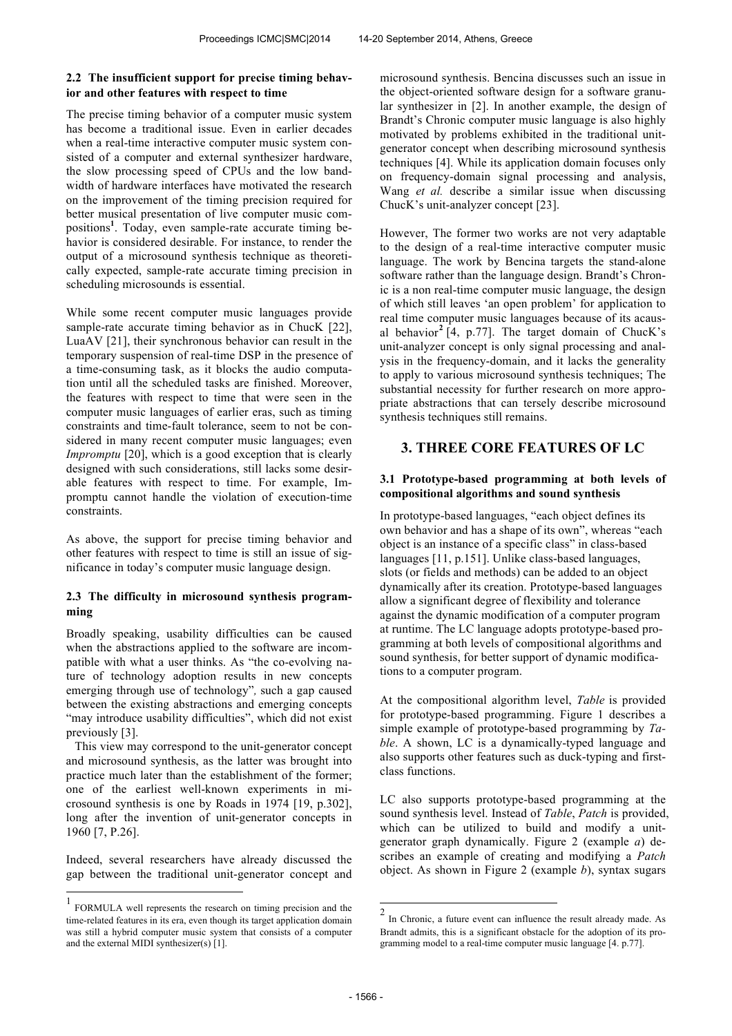# **2.2 The insufficient support for precise timing behavior and other features with respect to time**

The precise timing behavior of a computer music system has become a traditional issue. Even in earlier decades when a real-time interactive computer music system consisted of a computer and external synthesizer hardware, the slow processing speed of CPUs and the low bandwidth of hardware interfaces have motivated the research on the improvement of the timing precision required for better musical presentation of live computer music compositions**<sup>1</sup>** . Today, even sample-rate accurate timing behavior is considered desirable. For instance, to render the output of a microsound synthesis technique as theoretically expected, sample-rate accurate timing precision in scheduling microsounds is essential.

While some recent computer music languages provide sample-rate accurate timing behavior as in ChucK [22], LuaAV [21], their synchronous behavior can result in the temporary suspension of real-time DSP in the presence of a time-consuming task, as it blocks the audio computation until all the scheduled tasks are finished. Moreover, the features with respect to time that were seen in the computer music languages of earlier eras, such as timing constraints and time-fault tolerance, seem to not be considered in many recent computer music languages; even *Impromptu* [20], which is a good exception that is clearly designed with such considerations, still lacks some desirable features with respect to time. For example, Impromptu cannot handle the violation of execution-time constraints.

As above, the support for precise timing behavior and other features with respect to time is still an issue of significance in today's computer music language design.

## **2.3 The difficulty in microsound synthesis programming**

Broadly speaking, usability difficulties can be caused when the abstractions applied to the software are incompatible with what a user thinks. As "the co-evolving nature of technology adoption results in new concepts emerging through use of technology"*,* such a gap caused between the existing abstractions and emerging concepts "may introduce usability difficulties", which did not exist previously [3].

This view may correspond to the unit-generator concept and microsound synthesis, as the latter was brought into practice much later than the establishment of the former; one of the earliest well-known experiments in microsound synthesis is one by Roads in 1974 [19, p.302], long after the invention of unit-generator concepts in 1960 [7, P.26].

Indeed, several researchers have already discussed the gap between the traditional unit-generator concept and

 $\overline{a}$ 

microsound synthesis. Bencina discusses such an issue in the object-oriented software design for a software granular synthesizer in [2]. In another example, the design of Brandt's Chronic computer music language is also highly motivated by problems exhibited in the traditional unitgenerator concept when describing microsound synthesis techniques [4]. While its application domain focuses only on frequency-domain signal processing and analysis, Wang *et al.* describe a similar issue when discussing ChucK's unit-analyzer concept [23].

However, The former two works are not very adaptable to the design of a real-time interactive computer music language. The work by Bencina targets the stand-alone software rather than the language design. Brandt's Chronic is a non real-time computer music language, the design of which still leaves 'an open problem' for application to real time computer music languages because of its acausal behavior**<sup>2</sup>** [4, p.77]. The target domain of ChucK's unit-analyzer concept is only signal processing and analysis in the frequency-domain, and it lacks the generality to apply to various microsound synthesis techniques; The substantial necessity for further research on more appropriate abstractions that can tersely describe microsound synthesis techniques still remains.

# **3. THREE CORE FEATURES OF LC**

# **3.1 Prototype-based programming at both levels of compositional algorithms and sound synthesis**

In prototype-based languages, "each object defines its own behavior and has a shape of its own", whereas "each object is an instance of a specific class" in class-based languages [11, p.151]. Unlike class-based languages, slots (or fields and methods) can be added to an object dynamically after its creation. Prototype-based languages allow a significant degree of flexibility and tolerance against the dynamic modification of a computer program at runtime. The LC language adopts prototype-based programming at both levels of compositional algorithms and sound synthesis, for better support of dynamic modifications to a computer program.

At the compositional algorithm level, *Table* is provided for prototype-based programming. Figure 1 describes a simple example of prototype-based programming by *Table*. A shown, LC is a dynamically-typed language and also supports other features such as duck-typing and firstclass functions.

LC also supports prototype-based programming at the sound synthesis level. Instead of *Table*, *Patch* is provided, which can be utilized to build and modify a unitgenerator graph dynamically. Figure 2 (example *a*) describes an example of creating and modifying a *Patch* object. As shown in Figure 2 (example *b*), syntax sugars

<sup>1</sup> FORMULA well represents the research on timing precision and the time-related features in its era, even though its target application domain was still a hybrid computer music system that consists of a computer and the external MIDI synthesizer(s) [1].

 2 In Chronic, a future event can influence the result already made. As Brandt admits, this is a significant obstacle for the adoption of its programming model to a real-time computer music language [4. p.77].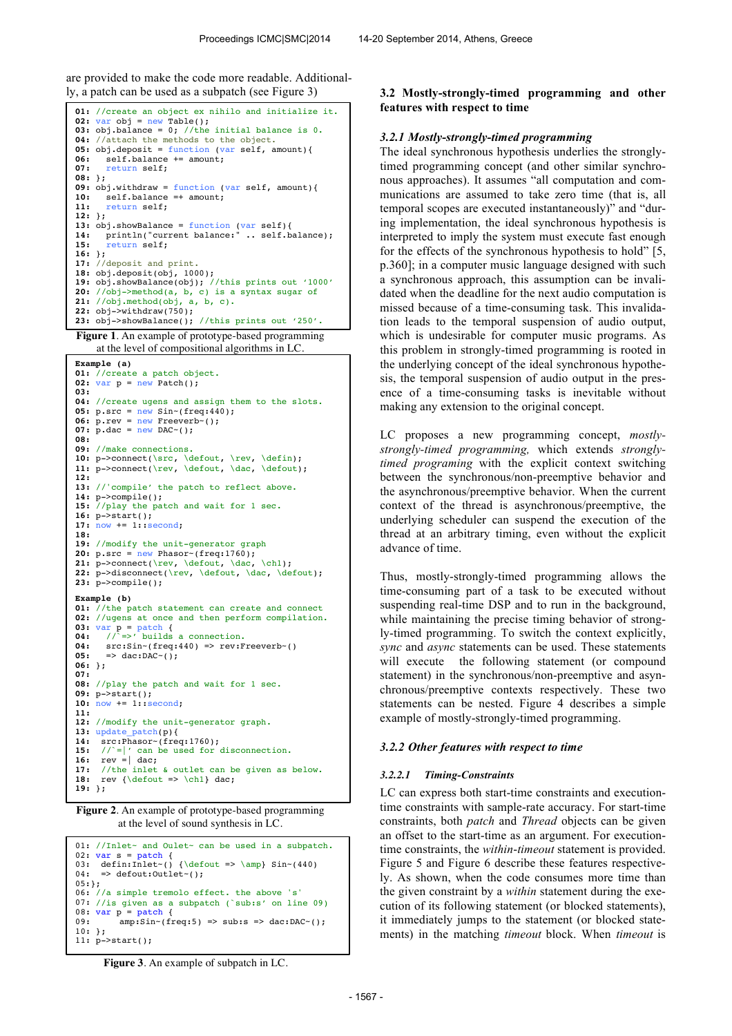are provided to make the code more readable. Additional-

```
01: //create an object ex nihilo and initialize it.
02: var obj = new Table();
03: obj.balance = 0; //the initial balance is 0.
04: //attach the methods to the object.
05: obj.deposit = function (var self, amount)<br>
06: self.balance += amount:
06: self.balance += amount;<br>07: return self;
       07: return self;
08: };
09: obj.withdraw = function (var self, amount){
10: self.balance =+ amount;<br>11: return self;
       11: return self;
12: };
13: obj.showBalance = function (var self){
14: println("current balance:" .. self.balance);
15: return self;
16: };
17: //deposit and print.
18: obj.deposit(obj, 1000);
19: obj.showBalance(obj); //this prints out '1000'
20: //obj->method(a, b, c) is a syntax sugar of
21: //obj.method(obj, a, b, c). 
22: obj->withdraw(750); 
23: obj->showBalance(); //this prints out '250'.
```
**Figure 1**. An example of prototype-based programming at the level of compositional algorithms in LC.

```
Example (a) 
01: //create a patch object.
02: var p = new \text{Path}(i);
03:
04: //create ugens and assign them to the slots.
05: p.src = new Sin-(freq:440);
06: \bar{p}.rev = \frac{new}{new} Freeverb<sup>-</sup>();
07: p \cdot \text{dac} = \text{new DAC}(\cdot);08:
09: //make connections.
10: p->connect(\src, \defout, \rev, \defin);
11: p->connect(\rev, \defout, \dac, \defout);
12:
13: //'compile' the patch to reflect above.
14: p->compile();
15: //play the patch and wait for 1 sec.
16: p->start(); 
17: now += 1::second; 
18: 
19: //modify the unit-generator graph
20: p.src = new Phasor-(freq:1760);21: p->connect(\rev, \defout, \dac, \ch1);
22: p->disconnect(\rev, \defout, \dac, \defout);
23: p->compile();
Example (b)
01: //the patch statement can create and connect
02: //ugens at once and then perform compilation.<br>03: var p = patch {
03: var p = patch { 
04: //`=>' builds a connection.
04: \text{src:Sin}-(\text{freq:440}) \Rightarrow \text{rev:Freeverb'}()<br>05: \Rightarrow \text{dac:DAC'}():
       \Rightarrow dac:DAC~():
06: };
07:
08: //play the patch and wait for 1 sec.
09: p->start(); 
10: now += 1::second; 
11: 
12: //modify the unit-generator graph.
13: update_patch(p){<br>14: src:Phasor~(free
      14: src:Phasor~(freq:1760);
15: //`=|' can be used for disconnection.
16: rev = \int dac;
17: //the inlet \& outlet can be given as below.<br>18: rev \{\def\phi\} > \chl\ dac:
     rev {\defout => \ch1} dac;
19: };
```
**Figure 2**. An example of prototype-based programming at the level of sound synthesis in LC.

```
01: //Inlet~ and Oulet~ can be used in a subpatch.
02: var s = patch {<br>03: defin:Inlet~()
      defin: Inlet~() {\defout => \amp} Sin~(440)
04: => defout:Outlet~();
05:};06: //a simple tremolo effect. the above 's'
07: //is given as a subpatch (`sub:s' on line 09)
08: var p = patch {<br>09: ann:Sin \sim (f)\texttt{amp:Sim-(freq:5)} \Rightarrow \texttt{sub:s} \Rightarrow \texttt{dac:DAC'}10: }; 
11: p->start();
```
### ly, a patch can be used as a subpatch (see Figure 3) **3.2 Mostly-strongly-timed programming and other features with respect to time**

### *3.2.1 Mostly-strongly-timed programming*

The ideal synchronous hypothesis underlies the stronglytimed programming concept (and other similar synchronous approaches). It assumes "all computation and communications are assumed to take zero time (that is, all temporal scopes are executed instantaneously)" and "during implementation, the ideal synchronous hypothesis is interpreted to imply the system must execute fast enough for the effects of the synchronous hypothesis to hold" [5, p.360]; in a computer music language designed with such a synchronous approach, this assumption can be invalidated when the deadline for the next audio computation is missed because of a time-consuming task. This invalidation leads to the temporal suspension of audio output, which is undesirable for computer music programs. As this problem in strongly-timed programming is rooted in the underlying concept of the ideal synchronous hypothesis, the temporal suspension of audio output in the presence of a time-consuming tasks is inevitable without making any extension to the original concept.

LC proposes a new programming concept, *mostlystrongly-timed programming,* which extends *stronglytimed programing* with the explicit context switching between the synchronous/non-preemptive behavior and the asynchronous/preemptive behavior. When the current context of the thread is asynchronous/preemptive, the underlying scheduler can suspend the execution of the thread at an arbitrary timing, even without the explicit advance of time.

Thus, mostly-strongly-timed programming allows the time-consuming part of a task to be executed without suspending real-time DSP and to run in the background, while maintaining the precise timing behavior of strongly-timed programming. To switch the context explicitly, *sync* and *async* statements can be used. These statements will execute the following statement (or compound statement) in the synchronous/non-preemptive and asynchronous/preemptive contexts respectively. These two statements can be nested. Figure 4 describes a simple example of mostly-strongly-timed programming.

### *3.2.2 Other features with respect to time*

#### *3.2.2.1 Timing-Constraints*

LC can express both start-time constraints and executiontime constraints with sample-rate accuracy. For start-time constraints, both *patch* and *Thread* objects can be given an offset to the start-time as an argument. For executiontime constraints, the *within*-*timeout* statement is provided. Figure 5 and Figure 6 describe these features respectively. As shown, when the code consumes more time than the given constraint by a *within* statement during the execution of its following statement (or blocked statements), it immediately jumps to the statement (or blocked statements) in the matching *timeout* block. When *timeout* is

**Figure 3**. An example of subpatch in LC.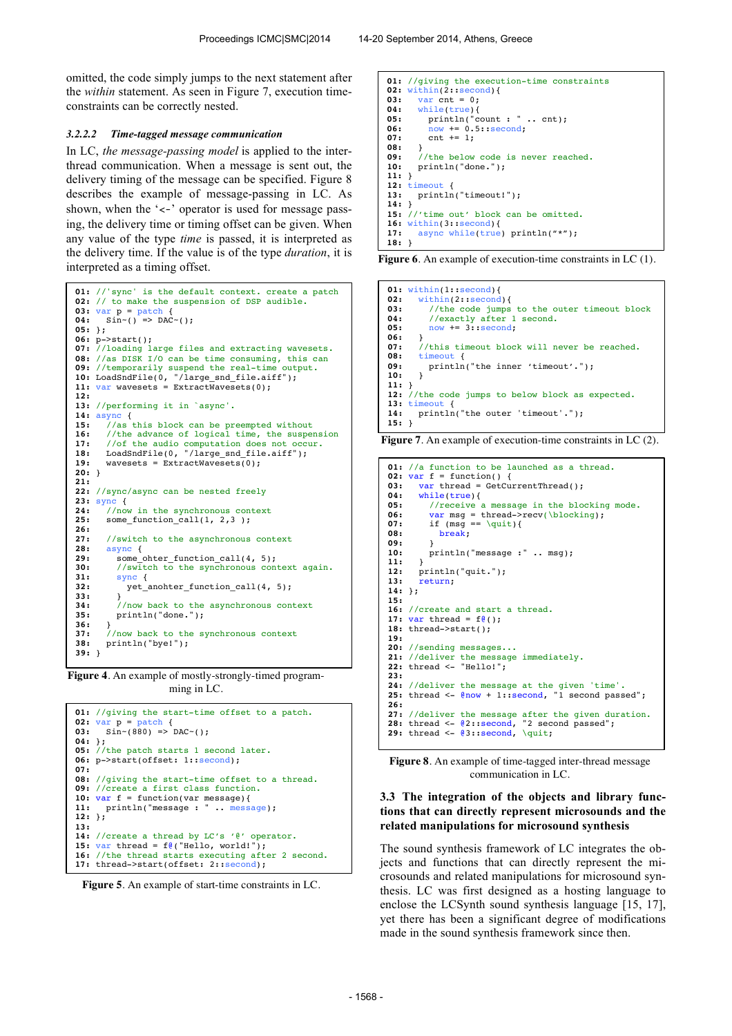omitted, the code simply jumps to the next statement after the *within* statement. As seen in Figure 7, execution timeconstraints can be correctly nested.

#### *3.2.2.2 Time-tagged message communication*

In LC, *the message-passing model* is applied to the interthread communication. When a message is sent out, the delivery timing of the message can be specified. Figure 8 describes the example of message-passing in LC. As shown, when the ' $\lt$ -' operator is used for message passing, the delivery time or timing offset can be given. When any value of the type *time* is passed, it is interpreted as the delivery time. If the value is of the type *duration*, it is interpreted as a timing offset.

```
01: //'sync' is the default context. create a patch 
02: // to make the suspension of DSP audible.
03: var p = patch {<br>04: Sin \sim( ) => DAC
       \sin^{-1}() \implies DAC^{-}(.)05: };
06: p->start();
07: //loading large files and extracting wavesets. 
08: //as DISK I/O can be time consuming, this can 
09: //temporarily suspend the real-time output.
10: LoadSndFile(0, "/large_snd_file.aiff");
11: var wavesets = ExtractWavesets(0);
12:
13: //performing it in `async'.
14: async {<br>15: //as
15: //as this block can be preempted without<br>16: //the advance of logical time, the suspe
16: //the advance of logical time, the suspension<br>17: //of the audio computation does not occur.
17: //of the audio computation does not occur.
18: LoadSndFile(0, "/large_snd_file.aiff");
19: wavesets = \overline{ExtractWavesets(0)};
20: } 
21:
22: //sync/async can be nested freely
23: \frac{\text{sync}}{\text{24:}} //nov
24: \frac{7}{\text{now in the synchronous context}}<br>25: some function call(1, 2,3):
        25: some_function_call(1, 2,3 );
26:
27: //switch to the asynchronous context<br>28: async {
28: async { 
           29: some_ohter_function_call(4, 5);
30: //switch to the synchronous context again.<br>31: sync {
31: sync {<br>32: yet a
32: yet_anohter_function_call(4, 5);
33: } 
34: //now back to the asynchronous context
35: println("done."); 
36: } 
         37: //now back to the synchronous context
38: println("bye!");
39: }
```
**Figure 4**. An example of mostly-strongly-timed programming in LC.

```
01: //giving the start-time offset to a patch.
02: var p = \frac{patch}{p} {<br>03: Sin \approx (880) =>
      \sin \sim (880) => DAC\sim();
04: };
05: //the patch starts 1 second later.
06: p->start(offset: 1::second);
07:
08: //giving the start-time offset to a thread.
09: //create a first class function.
10: var f = function(var message){
11: println("message : " .. message);
12: };
13:
14: //create a thread by LC's '@' operator.
15: var thread = f<sup>0</sup>("Hello, world!");
16: //the thread starts executing after 2 second.
17: thread->start(offset: 2::second);
```


```
01: //giving the execution-time constraints
02: \text{within}(2::\text{second}) {<br>03: \text{var} cnt = 0:
03: var \text{cnt} = 0;<br>04: while (true)while(true){
05: \begin{array}{ll}\n\text{print}(\text{count}: \text{ " c} \dots \text{ cnt}); \\
\text{06: } & \text{now += } 0.5 \text{ : second:}\n\end{array}06: \frac{1}{1000} += 0.5::second;<br>07: cnt += 1;
07: \text{cnt} += 1;<br>08: \lambda08: } 
09: //the below code is never reached.
10: println("done.");
\begin{matrix} 11: \\ 12: \end{matrix}12: timeout {<br>13: println
          13: println("timeout!");
14: } 
15: //'time out' block can be omitted.
16: within(3::second){<br>17: async_while(true
         async while(true) println("*");
18: }
```
**Figure 6**. An example of execution-time constraints in LC (1).

**01:** within(1::second){<br>**02:** within(2::second within(2::second){ **03:** //the code jumps to the outer timeout block **04:** //exactly after 1 second. **05:** now += 3::second; **06:** } 07: //this timeout block will never be reached.<br>08: timeout *{* 08: timeout {<br>09: println println("the inner 'timeout'.");  $10:$ **11:** } **12:** //the code jumps to below block as expected. **13: timeout 14: print** println("the outer 'timeout'."); **15:** }

**Figure 7**. An example of execution-time constraints in LC (2).

```
01: //a function to be launched as a thread.
02: var f = function() {
03: var thread = GetCurrentThread();<br>04: while(true){
         04: while(true){
05: //receive a message in the blocking mode.<br>06: var msg = thread->recv(\blocking);
07: if (msg == \qquad \qquad \qquad<br>08: break:
              08: break; 
09: } 
         println("message :" .. msg);
11: } 
        12: println("quit.");
13: return; 
14: };
15:
16: //create and start a thread.<br>17: var thread = f(\theta);
18: thread->start();
19:
20: //sending messages...
21: //deliver the message immediately.
22: thread <- "Hello!"; 
23:
24: //deliver the message at the given 'time'.
25: thread <- @now + 1::second, "1 second passed";
26:
27: //deliver the message after the given duration.
28: thread <- @2::second, "2 second passed";
29: thread <- @3::second, \quit;
```
**Figure 8**. An example of time-tagged inter-thread message communication in LC.

## **3.3 The integration of the objects and library functions that can directly represent microsounds and the related manipulations for microsound synthesis**

The sound synthesis framework of LC integrates the objects and functions that can directly represent the microsounds and related manipulations for microsound synthesis. LC was first designed as a hosting language to enclose the LCSynth sound synthesis language [15, 17], yet there has been a significant degree of modifications made in the sound synthesis framework since then.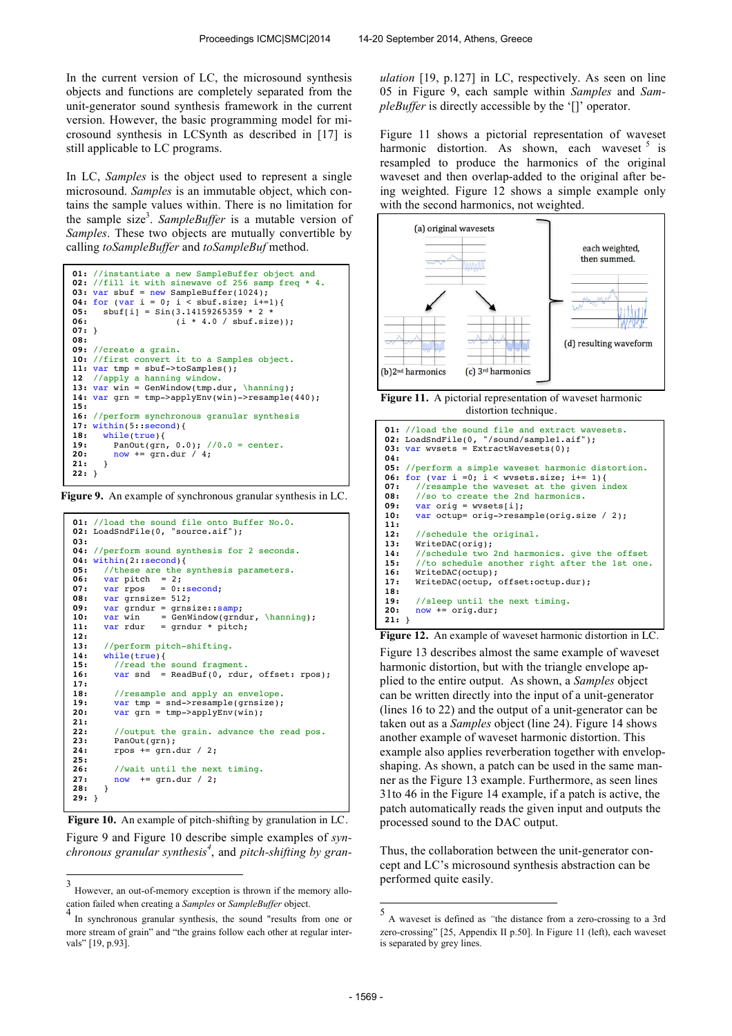In the current version of LC, the microsound synthesis objects and functions are completely separated from the unit-generator sound synthesis framework in the current version. However, the basic programming model for microsound synthesis in LCSynth as described in [17] is still applicable to LC programs.

In LC, *Samples* is the object used to represent a single microsound. *Samples* is an immutable object, which contains the sample values within. There is no limitation for the sample size<sup>3</sup>. SampleBuffer is a mutable version of *Samples*. These two objects are mutually convertible by calling *toSampleBuffer* and *toSampleBuf* method.

```
01: //instantiate a new SampleBuffer object and
02: //fill it with sinewave of 256 samp freq *
03: var sbuf = new SampleBuffer(1024);
04: for (var i = 0; i < sbuf.size; i+=1){<br>05: sbuf[i] = Sin(3.14159265359 * 2 *
06: (i * 4.0 / sbuf.size));
07: } 
08: 
09: //create a grain. 
10: //first convert it to a Samples object.
11: var tmp = sbuf->toSamples();
12 //apply a hanning window.
13: var win = GenWindow(tmp.dur, \hanning);
14: var grn = tmp->applyEnv(win)->resample(440);
15:
16: //perform synchronous granular synthesis
17: within(5::second){<br>18: while(true){
18: while(true){<br>19: PanOut(grn.
19: Panout(grn, 0.0); 1/0.0 = center.<br>20: now += grn, dur 1/4:
          20: now += grn.dur / 4;
21: } 
22: }
```
**Figure 9.** An example of synchronous granular synthesis in LC.

```
01: //load the sound file onto Buffer No.0.
02: LoadSndFile(0, "source.aif");
03:
04: //perform sound synthesis for 2 seconds.
04: within(2::second){<br>05: //these are the :
05: //these are the synthesis parameters.<br>06: var pitch = 2:
06: var pitch = 2;
07: var rpos = 0::second; 
08: var grnsize= 512;
09: var grndur = grnsize::samp;<br>10: var win = GenWindow(grnd
10: var win = GenWindow(grndur, \hanning);<br>11: var rdur = grndur * pitch:
                      = grndur * pitch;
12: 
13: //perform pitch-shifting. 
14: while(true){
           //read the sound fragment.
16: var snd = ReadBuf(0, rdur, offset: rpos);
17: 
18: //resample and apply an envelope.<br>19: var tmp = snd->resample(grnsize):
19: var tmp = snd->resample(grnsize);<br>20: var grn = tmp->applyEnv(win);
21: 
22: //output the grain. advance the read pos.<br>23: PanOut(grn):
          PanOut(grn);
24: rpos += grn.dur / 2;
25: 
26: //wait until the next timing.<br>27: now += grn.dur / 2:
          27: now += grn.dur / 2;
28: } 
29: }
```
Figure 9 and Figure 10 describe simple examples of *synchronous granular synthesis<sup>4</sup>* , and *pitch-shifting by gran-* **Figure 10.** An example of pitch-shifting by granulation in LC.

*ulation* [19, p.127] in LC, respectively. As seen on line 05 in Figure 9, each sample within *Samples* and *SampleBuffer* is directly accessible by the '[]' operator.

Figure 11 shows a pictorial representation of waveset harmonic distortion. As shown, each waveset  $5$  is resampled to produce the harmonics of the original waveset and then overlap-added to the original after being weighted. Figure 12 shows a simple example only with the second harmonics, not weighted.



**Figure 11.** A pictorial representation of waveset harmonic distortion technique.

```
01: //load the sound file and extract wavesets.
02: LoadSndFile(0, "/sound/sample1.aif");<br>03: var wysets = ExtractWayesets(0):
      var wvsets = ExtractWavesets(0);
04:
05: //perform a simple waveset harmonic distortion.
06: for (var i =0; i < wvsets.size; i+= 1){<br>07: //resample the waveset at the given i
07: //resample the waveset at the given index<br>08: //so to create the 2nd harmonics.
08: //so to create the 2nd harmonics.<br>09: var orig = wysets[i]:
09: var orig = wvsets[i];<br>10: var octup= orig->resa
         var octup= orig->resample(orig.size / 2);
11:
12: //schedule the original.<br>13: WriteDAC(orig):
         13: WriteDAC(orig);
14: //schedule two 2nd harmonics. give the offset<br>15: //to schedule another right after the 1st one
15: //to schedule another right after the 1st one.<br>16: WriteDAC(octup);
         16: WriteDAC(octup);
17: WriteDAC(octup, offset:octup.dur);
18:
19: //sleep until the next timing.<br>20: now += orig.dur;
         20: now += orig.dur;
21: }
```
**Figure 12.** An example of waveset harmonic distortion in LC.

Figure 13 describes almost the same example of waveset harmonic distortion, but with the triangle envelope applied to the entire output. As shown, a *Samples* object can be written directly into the input of a unit-generator (lines 16 to 22) and the output of a unit-generator can be taken out as a *Samples* object (line 24). Figure 14 shows another example of waveset harmonic distortion. This example also applies reverberation together with envelopshaping. As shown, a patch can be used in the same manner as the Figure 13 example. Furthermore, as seen lines 31to 46 in the Figure 14 example, if a patch is active, the patch automatically reads the given input and outputs the processed sound to the DAC output.

Thus, the collaboration between the unit-generator concept and LC's microsound synthesis abstraction can be performed quite easily.

 3 However, an out-of-memory exception is thrown if the memory allocation failed when creating a *Samples* or *SampleBuffer* object. 4

In synchronous granular synthesis, the sound "results from one or more stream of grain" and "the grains follow each other at regular intervals" [19, p.93].

 5 A waveset is defined as *"*the distance from a zero-crossing to a 3rd zero-crossing" [25, Appendix II p.50]. In Figure 11 (left), each waveset is separated by grey lines.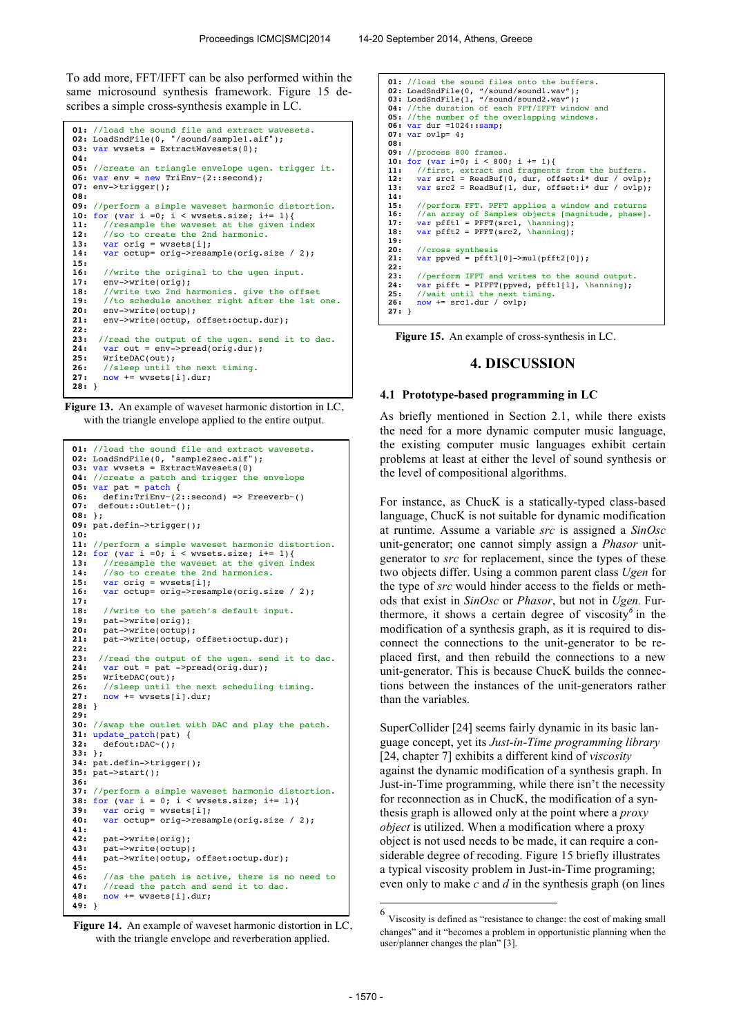To add more, FFT/IFFT can be also performed within the same microsound synthesis framework. Figure 15 describes a simple cross-synthesis example in LC.

```
01: //load the sound file and extract wavesets.
02: LoadSndFile(0, "/sound/sample1.aif");
03: var wvsets = ExtractWavesets(0);
04:
05: //create an triangle envelope ugen. trigger it.
06: var env = new TriEnv~(2::second);
07: env->trigger();
08:
09: //perform a simple waveset harmonic distortion.
10: for (var i =0; i < wvsets.size; i+= 1){<br>11: //resample the waveset at the given index
12: //so to create the 2nd harmonic.<br>13: var orig = wysets[i]:
         var orig = wvsets[i];
14: var octup= orig->resample(orig.size / 2);
15: 
16: //write the original to the ugen input.<br>17: env->write(orig):
17: env->write(orig);<br>18: //write two 2nd h
18: //write two 2nd harmonics. give the offset 
19: //to schedule another right after the 1st one.
20: env->write(octup);<br>21: env->write(octup.
         21: env->write(octup, offset:octup.dur);
22: 
23: //read the output of the ugen. send it to dac. 24: var out = env-<math>2</math>24: var out = env->pred(orig. dur);<br>25: WriteDAC(out):25: WriteDAC(out);<br>26: //sleep until t
         26: //sleep until the next timing.
27: now += wvsets[i].dur;
28: }
```
**Figure 13.** An example of waveset harmonic distortion in LC, with the triangle envelope applied to the entire output.

```
01: //load the sound file and extract wavesets.
02: LoadSndFile(0, "sample2sec.aif");
03: var wvsets = ExtractWavesets(0)
04: //create a patch and trigger the envelope
05: var pat = \frac{1}{\text{patch}} {<br>06: defin:TriEnv~(2)
       06: defin:TriEnv~(2::second) => Freeverb~()
07: defout::Outlet~();
08: }; 
09: pat.defin->trigger();
10: 
11: //perform a simple waveset harmonic distortion.
12: for (var i =0; i < wvsets.size; i+= 1){
13: //resample the waveset at the given index<br>14: //so to create the 2nd harmonics.
14: //so to create the 2nd harmonics.<br>15: yar orig = wysets[i]:
       15: var orig = wvsets[i];
16: var octup= orig->resample(orig.size / 2);
17: 
18: //write to the patch's default input.<br>19: pat->write(orig):
       pat->write(orig);
20: pat->write(octup);<br>21: pat->write(octup,
       pat->write(octup, offset:octup.dur);
22: 
      23: //read the output of the ugen. send it to dac.
24: var out = pat ->pread(orig.dur);<br>25: WriteDAC(out);
25: WriteDAC(out);<br>26: //sleep until t
26: //sleep until the next scheduling timing.<br>27: now += wysets[i].dur:
       now += wvsets[i].dur;
28: } 
29:
30: //swap the outlet with DAC and play the patch.
31: update\_patch(pat) {<br>32: default:DAC<sub>0</sub>:32: defout:DAC~();
33: };
34: pat.defin->trigger();
35: pat->start();
36:
37: //perform a simple waveset harmonic distortion.
38: for (var i = 0; i < wvsets.size; i+=1){<br>39: var orig = wvsets[i]}
       39: var orig = wvsets[i];
40: var octup= orig->resample(orig.size / 2);
41: 
42: pat->write(orig);
       43: pat->write(octup);
44: pat->write(octup, offset:octup.dur);
45: 
46: //as the patch is active, there is no need to<br>47: //read the patch and send it to dag.
47: //read the patch and send it to dac.<br>48: now += wysets[i].dur:
       48: now += wvsets[i].dur;
49: }
```
**Figure 14.** An example of waveset harmonic distortion in LC, with the triangle envelope and reverberation applied.

**01:** //load the sound files onto the buffers.<br>**02:** LoadSndFile(0, "/sound/sound1.wav");<br>**03:** LoadSndFile(1, "/sound/sound2.wav"); **04:** //the duration of each FFT/IFFT window and **05:** //the number of the overlapping windows. **06:** var dur =1024::samp; **07:** var ovlp= 4; **08: 09:** //process 800 frames. **10:** for (var i=0; i < 800; i += 1){ **11:** //first, extract snd fragments from the buffers. **12:** var src1 = ReadBuf(0, dur, offset:i\* dur / ovlp); **13:** var src2 = ReadBuf(1, dur, offset:i\* dur / ovlp); **14: 15:** //perform FFT. PFFT applies a window and returns **16:** //an array of Samples objects [magnitude, phase]. **17:** var pfft1 = PFFT(src1, \hanning);<br>**18:** var pfft2 = PFFT(src2, \hanning); **19:** 20: //cross synthesis<br>21: var ppved = pfft1 **21:** var ppved = pfft1[0]->mul(pfft2[0]); **22: 23:** //perform IFFT and writes to the sound output. **24:** var pifft = PIFFT(ppved, pfft1[1], \hanning); **25:** //wait until the next timing. **26:** now += src1.dur / ovlp; **27:** }

**Figure 15.** An example of cross-synthesis in LC.

## **4. DISCUSSION**

#### **4.1 Prototype-based programming in LC**

As briefly mentioned in Section 2.1, while there exists the need for a more dynamic computer music language, the existing computer music languages exhibit certain problems at least at either the level of sound synthesis or the level of compositional algorithms.

For instance, as ChucK is a statically-typed class-based language, ChucK is not suitable for dynamic modification at runtime. Assume a variable *src* is assigned a *SinOsc* unit-generator; one cannot simply assign a *Phasor* unitgenerator to *src* for replacement, since the types of these two objects differ. Using a common parent class *Ugen* for the type of *src* would hinder access to the fields or methods that exist in *SinOsc* or *Phasor*, but not in *Ugen.* Furthermore, it shows a certain degree of viscosity*<sup>6</sup>* in the modification of a synthesis graph, as it is required to disconnect the connections to the unit-generator to be replaced first, and then rebuild the connections to a new unit-generator. This is because ChucK builds the connections between the instances of the unit-generators rather than the variables.

SuperCollider [24] seems fairly dynamic in its basic language concept, yet its *Just-in-Time programming library*  [24, chapter 7] exhibits a different kind of *viscosity* against the dynamic modification of a synthesis graph. In Just-in-Time programming, while there isn't the necessity for reconnection as in ChucK, the modification of a synthesis graph is allowed only at the point where a *proxy object* is utilized. When a modification where a proxy object is not used needs to be made, it can require a considerable degree of recoding. Figure 15 briefly illustrates a typical viscosity problem in Just-in-Time programing; even only to make *c* and *d* in the synthesis graph (on lines

j

<sup>6</sup> Viscosity is defined as "resistance to change: the cost of making small changes" and it "becomes a problem in opportunistic planning when the user/planner changes the plan" [3].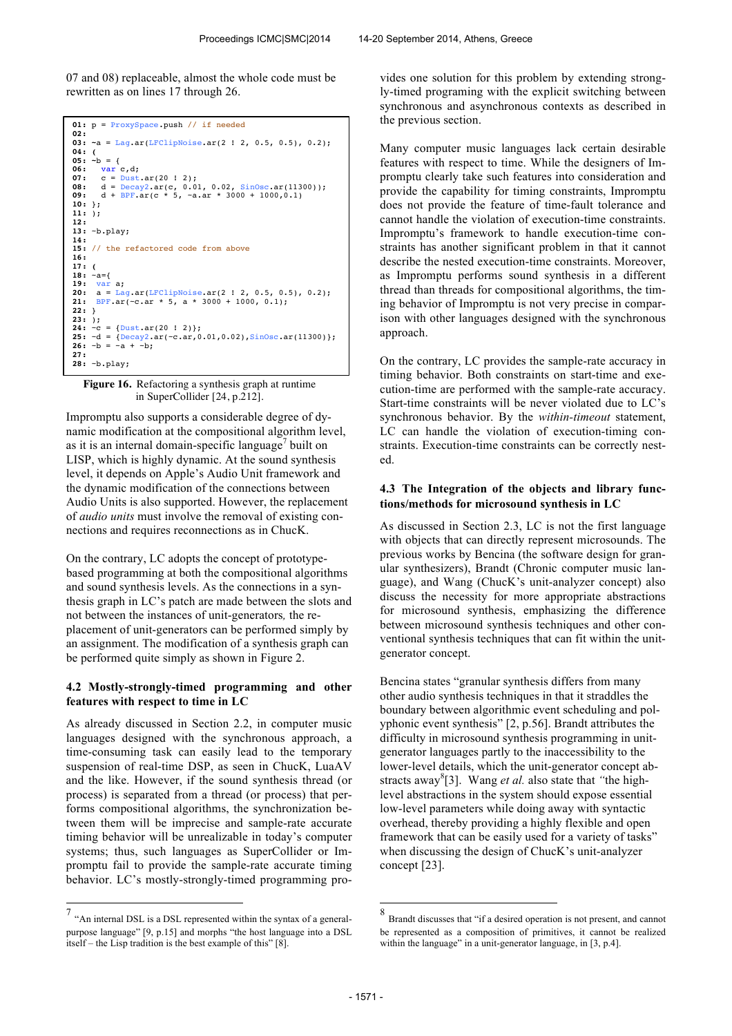07 and 08) replaceable, almost the whole code must be rewritten as on lines 17 through 26.

```
01: p = ProxySpace.push // if needed 
02: 
03: ~a = Lag.ar(LFClipNoise.ar(2 ! 2, 0.5, 0.5), 0.2);
04: (
 05: ~b = {<br>06: var c,d;<br>07: c = Dust.ar(20 ! 2);<br>08: d = Decay2.ar(c, 0.01, 0.02, SinOsc.ar(11300));<br>09: d + BPF.ar(c * 5, ~a.ar * 3000 + 1000,0.1)
10: };
11: ); 
12:
13: ~b.play; 
14: 
15: // the refactored code from above
16:
 17: (
18: ~a={
 19: var a;<br>20: a = Lag.ar(LFClipNoise.ar(2 ! 2, 0.5, 0.5), 0.2);<br>21: BPF.ar(~c.ar * 5, a * 3000 + 1000, 0.1);
22: } 
23: );
 24: ~c = {Dust.ar(20 ! 2)};
25: ~d = {Decay2.ar(~c.ar,0.01,0.02),SinOsc.ar(11300)};
26: ~b = ~a + ~b;
27: 
28: ~b.play;
```
**Figure 16.** Refactoring a synthesis graph at runtime in SuperCollider [24, p.212].

Impromptu also supports a considerable degree of dynamic modification at the compositional algorithm level, as it is an internal domain-specific language<sup>7</sup> built on LISP, which is highly dynamic. At the sound synthesis level, it depends on Apple's Audio Unit framework and the dynamic modification of the connections between Audio Units is also supported. However, the replacement of *audio units* must involve the removal of existing connections and requires reconnections as in ChucK.

On the contrary, LC adopts the concept of prototypebased programming at both the compositional algorithms and sound synthesis levels. As the connections in a synthesis graph in LC's patch are made between the slots and not between the instances of unit-generators*,* the replacement of unit-generators can be performed simply by an assignment. The modification of a synthesis graph can be performed quite simply as shown in Figure 2.

## **4.2 Mostly-strongly-timed programming and other features with respect to time in LC**

As already discussed in Section 2.2, in computer music languages designed with the synchronous approach, a time-consuming task can easily lead to the temporary suspension of real-time DSP, as seen in ChucK, LuaAV and the like. However, if the sound synthesis thread (or process) is separated from a thread (or process) that performs compositional algorithms, the synchronization between them will be imprecise and sample-rate accurate timing behavior will be unrealizable in today's computer systems; thus, such languages as SuperCollider or Impromptu fail to provide the sample-rate accurate timing behavior. LC's mostly-strongly-timed programming provides one solution for this problem by extending strongly-timed programing with the explicit switching between synchronous and asynchronous contexts as described in the previous section.

Many computer music languages lack certain desirable features with respect to time. While the designers of Impromptu clearly take such features into consideration and provide the capability for timing constraints, Impromptu does not provide the feature of time-fault tolerance and cannot handle the violation of execution-time constraints. Impromptu's framework to handle execution-time constraints has another significant problem in that it cannot describe the nested execution-time constraints. Moreover, as Impromptu performs sound synthesis in a different thread than threads for compositional algorithms, the timing behavior of Impromptu is not very precise in comparison with other languages designed with the synchronous approach.

On the contrary, LC provides the sample-rate accuracy in timing behavior. Both constraints on start-time and execution-time are performed with the sample-rate accuracy. Start-time constraints will be never violated due to LC's synchronous behavior. By the *within-timeout* statement, LC can handle the violation of execution-timing constraints. Execution-time constraints can be correctly nested.

### **4.3 The Integration of the objects and library functions/methods for microsound synthesis in LC**

As discussed in Section 2.3, LC is not the first language with objects that can directly represent microsounds. The previous works by Bencina (the software design for granular synthesizers), Brandt (Chronic computer music language), and Wang (ChucK's unit-analyzer concept) also discuss the necessity for more appropriate abstractions for microsound synthesis, emphasizing the difference between microsound synthesis techniques and other conventional synthesis techniques that can fit within the unitgenerator concept.

Bencina states "granular synthesis differs from many other audio synthesis techniques in that it straddles the boundary between algorithmic event scheduling and polyphonic event synthesis" [2, p.56]. Brandt attributes the difficulty in microsound synthesis programming in unitgenerator languages partly to the inaccessibility to the lower-level details, which the unit-generator concept abstracts away<sup>8</sup>[3]. Wang *et al.* also state that "the highlevel abstractions in the system should expose essential low-level parameters while doing away with syntactic overhead, thereby providing a highly flexible and open framework that can be easily used for a variety of tasks" when discussing the design of ChucK's unit-analyzer concept [23].

j

 7 "An internal DSL is a DSL represented within the syntax of a generalpurpose language" [9, p.15] and morphs "the host language into a DSL itself – the Lisp tradition is the best example of this" [8].

<sup>8</sup> Brandt discusses that "if a desired operation is not present, and cannot be represented as a composition of primitives, it cannot be realized within the language" in a unit-generator language, in [3, p.4].